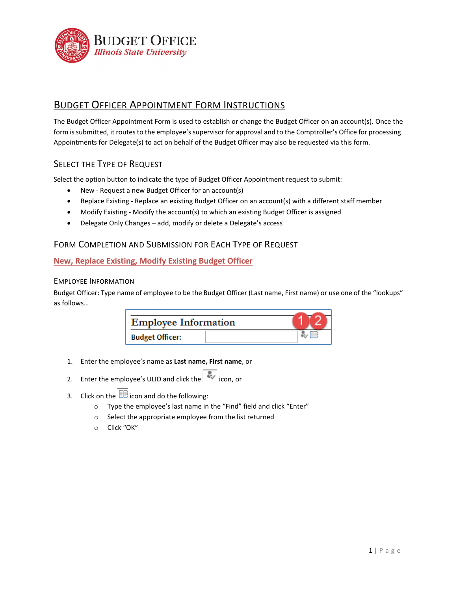

# **BUDGET OFFICER APPOINTMENT FORM INSTRUCTIONS**

The Budget Officer Appointment Form is used to establish or change the Budget Officer on an account(s). Once the form is submitted, it routes to the employee's supervisor for approval and to the Comptroller's Office for processing. Appointments for Delegate(s) to act on behalf of the Budget Officer may also be requested via this form.

# SELECT THE TYPE OF REQUEST

Select the option button to indicate the type of Budget Officer Appointment request to submit:

- New Request a new Budget Officer for an account(s)
- Replace Existing Replace an existing Budget Officer on an account(s) with a different staff member
- Modify Existing Modify the account(s) to which an existing Budget Officer is assigned
- Delegate Only Changes add, modify or delete a Delegate's access

# FORM COMPLETION AND SUBMISSION FOR EACH TYPE OF REQUEST

# **New, Replace Existing, Modify Existing Budget Officer**

## EMPLOYEE INFORMATION

Budget Officer: Type name of employee to be the Budget Officer (Last name, First name) or use one of the "lookups" as follows…

| <b>Employee Information</b> |  |  |
|-----------------------------|--|--|
| <b>Budget Officer:</b>      |  |  |

- 1. Enter the employee's name as **Last name, First name**, or
- 2. Enter the employee's ULID and click the  $\overline{\mathcal{R}}$  icon, or
- 3. Click on the  $\mathbb{E}$  icon and do the following:
	- o Type the employee's last name in the "Find" field and click "Enter"
	- o Select the appropriate employee from the list returned
	- o Click "OK"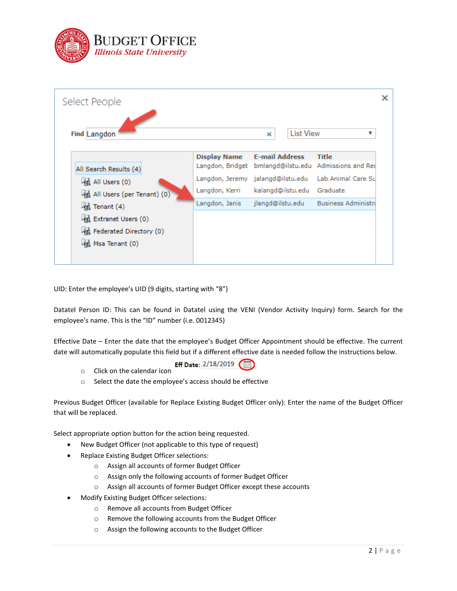

| Select People              |                     |                                   |                                                       |
|----------------------------|---------------------|-----------------------------------|-------------------------------------------------------|
| <b>Find Langdon</b>        |                     | <b>List View</b><br>×             | ▼                                                     |
|                            | <b>Display Name</b> | <b>E-mail Address</b>             | <b>Title</b>                                          |
| All Search Results (4)     |                     |                                   | Langdon, Bridget bmlangd@ilstu.edu Admissions and Red |
| All Users (0)              |                     | Langdon, Jeremy jalangd@ilstu.edu | Lab Animal Care Su                                    |
| All Users (per Tenant) (0) | Langdon, Kerri      | kalangd@ilstu.edu                 | Graduate                                              |
| Tenant (4)                 | Langdon, Janis      | jlangd@ilstu.edu                  | <b>Business Administra</b>                            |
| Extranet Users (0)         |                     |                                   |                                                       |
| Federated Directory (0)    |                     |                                   |                                                       |
| Msa Tenant (0)             |                     |                                   |                                                       |
|                            |                     |                                   |                                                       |

UID: Enter the employee's UID (9 digits, starting with "8")

Datatel Person ID: This can be found in Datatel using the VENI (Vendor Activity Inquiry) form. Search for the employee's name. This is the "ID" number (i.e. 0012345)

Effective Date – Enter the date that the employee's Budget Officer Appointment should be effective. The current date will automatically populate this field but if a different effective date is needed follow the instructions below.

- Eff Date: 2/18/2019
- o Click on the calendar icon
- o Select the date the employee's access should be effective

Previous Budget Officer (available for Replace Existing Budget Officer only): Enter the name of the Budget Officer that will be replaced.

Select appropriate option button for the action being requested.

- New Budget Officer (not applicable to this type of request)
- Replace Existing Budget Officer selections:
	- o Assign all accounts of former Budget Officer
	- o Assign only the following accounts of former Budget Officer
	- o Assign all accounts of former Budget Officer except these accounts
- Modify Existing Budget Officer selections:
	- o Remove all accounts from Budget Officer
	- o Remove the following accounts from the Budget Officer
	- o Assign the following accounts to the Budget Officer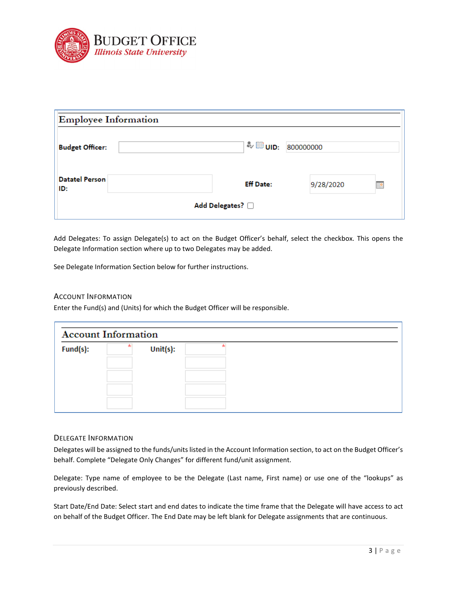

| <b>Employee Information</b>  |                  |           |           |  |  |  |
|------------------------------|------------------|-----------|-----------|--|--|--|
| <b>Budget Officer:</b>       |                  |           |           |  |  |  |
| <b>Datatel Person</b><br>ID: | <b>Eff Date:</b> | 9/28/2020 | <b>HR</b> |  |  |  |
| Add Delegates? 0             |                  |           |           |  |  |  |

Add Delegates: To assign Delegate(s) to act on the Budget Officer's behalf, select the checkbox. This opens the Delegate Information section where up to two Delegates may be added.

See Delegate Information Section below for further instructions.

## ACCOUNT INFORMATION

Enter the Fund(s) and (Units) for which the Budget Officer will be responsible.

| <b>Account Information</b> |  |          |  |  |  |
|----------------------------|--|----------|--|--|--|
| Fund(s):                   |  | Unit(s): |  |  |  |
|                            |  |          |  |  |  |
|                            |  |          |  |  |  |
|                            |  |          |  |  |  |
|                            |  |          |  |  |  |

## DELEGATE INFORMATION

Delegates will be assigned to the funds/units listed in the Account Information section, to act on the Budget Officer's behalf. Complete "Delegate Only Changes" for different fund/unit assignment.

Delegate: Type name of employee to be the Delegate (Last name, First name) or use one of the "lookups" as previously described.

Start Date/End Date: Select start and end dates to indicate the time frame that the Delegate will have access to act on behalf of the Budget Officer. The End Date may be left blank for Delegate assignments that are continuous.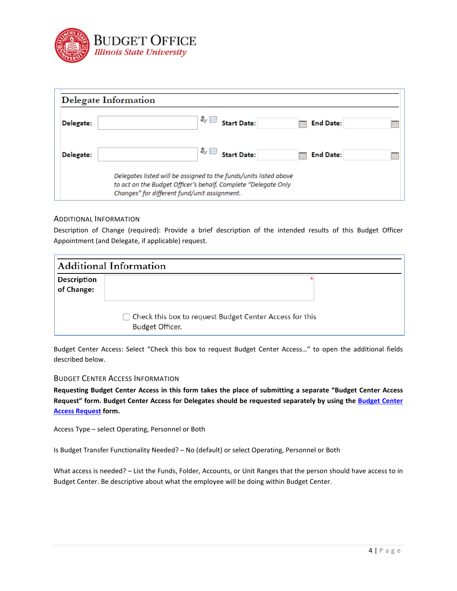

|                  | Delegate Information                                                                                                                                                                |                             |
|------------------|-------------------------------------------------------------------------------------------------------------------------------------------------------------------------------------|-----------------------------|
| <b>Delegate:</b> |                                                                                                                                                                                     | <b>End Date:</b><br>Ħo<br>肿 |
| Delegate:        | $\sim$ $\boxplus$ Start Date:                                                                                                                                                       | <b>End Date:</b><br>ma.     |
|                  | Delegates listed will be assigned to the funds/units listed above<br>to act on the Budget Officer's behalf. Complete "Delegate Only<br>Changes" for different fund/unit assignment. |                             |

## ADDITIONAL INFORMATION

Description of Change (required): Provide a brief description of the intended results of this Budget Officer Appointment (and Delegate, if applicable) request.

|                           | <b>Additional Information</b>                                                |  |
|---------------------------|------------------------------------------------------------------------------|--|
| Description<br>of Change: | □ Check this box to request Budget Center Access for this<br>Budget Officer. |  |

Budget Center Access: Select "Check this box to request Budget Center Access…" to open the additional fields described below.

#### BUDGET CENTER ACCESS INFORMATION

**Requesting Budget Center Access in this form takes the place of submitting a separate "Budget Center Access Request" form. Budget Center Access for Delegates should be requested separately by using the [Budget Center](https://illinoisstateuniversity.sharepoint.com/sites/BudgetOffice/SitePages/PersonalDashboard.aspx)  [Access Request](https://illinoisstateuniversity.sharepoint.com/sites/BudgetOffice/SitePages/PersonalDashboard.aspx) form.**

Access Type – select Operating, Personnel or Both

Is Budget Transfer Functionality Needed? – No (default) or select Operating, Personnel or Both

What access is needed? – List the Funds, Folder, Accounts, or Unit Ranges that the person should have access to in Budget Center. Be descriptive about what the employee will be doing within Budget Center.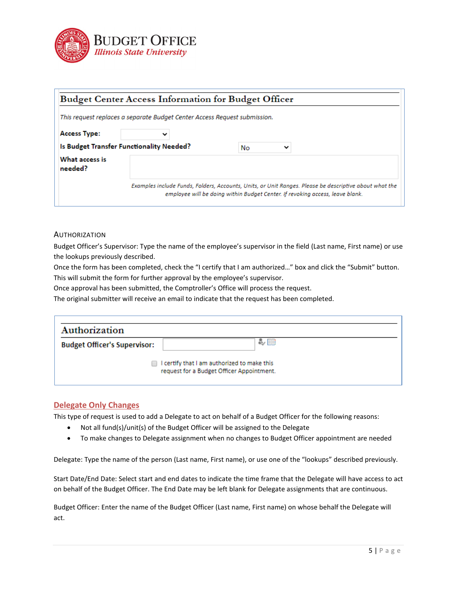

|                                          | Budget Center Access Information for Budget Officer                       |                                                                                                                                                                                         |
|------------------------------------------|---------------------------------------------------------------------------|-----------------------------------------------------------------------------------------------------------------------------------------------------------------------------------------|
|                                          | This request replaces a separate Budget Center Access Request submission. |                                                                                                                                                                                         |
| <b>Access Type:</b>                      |                                                                           |                                                                                                                                                                                         |
| Is Budget Transfer Functionality Needed? |                                                                           | No.                                                                                                                                                                                     |
| What access is<br>needed?                |                                                                           |                                                                                                                                                                                         |
|                                          |                                                                           | Examples include Funds, Folders, Accounts, Units, or Unit Ranges. Please be descriptive about what the<br>employee will be doing within Budget Center. If revoking access, leave blank. |

#### AUTHORIZATION

Budget Officer's Supervisor: Type the name of the employee's supervisor in the field (Last name, First name) or use the lookups previously described.

Once the form has been completed, check the "I certify that I am authorized…" box and click the "Submit" button.

This will submit the form for further approval by the employee's supervisor.

Once approval has been submitted, the Comptroller's Office will process the request.

The original submitter will receive an email to indicate that the request has been completed.

| Authorization                       |                                                                                          |
|-------------------------------------|------------------------------------------------------------------------------------------|
| <b>Budget Officer's Supervisor:</b> | る用                                                                                       |
|                                     | I certify that I am authorized to make this<br>request for a Budget Officer Appointment. |

#### **Delegate Only Changes**

This type of request is used to add a Delegate to act on behalf of a Budget Officer for the following reasons:

- Not all fund(s)/unit(s) of the Budget Officer will be assigned to the Delegate
- To make changes to Delegate assignment when no changes to Budget Officer appointment are needed

Delegate: Type the name of the person (Last name, First name), or use one of the "lookups" described previously.

Start Date/End Date: Select start and end dates to indicate the time frame that the Delegate will have access to act on behalf of the Budget Officer. The End Date may be left blank for Delegate assignments that are continuous.

Budget Officer: Enter the name of the Budget Officer (Last name, First name) on whose behalf the Delegate will act.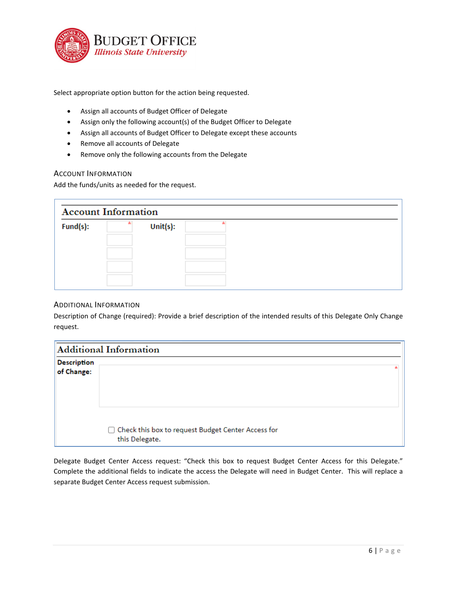

Select appropriate option button for the action being requested.

- Assign all accounts of Budget Officer of Delegate
- Assign only the following account(s) of the Budget Officer to Delegate
- Assign all accounts of Budget Officer to Delegate except these accounts
- Remove all accounts of Delegate
- Remove only the following accounts from the Delegate

## ACCOUNT INFORMATION

Add the funds/units as needed for the request.

| <b>Account Information</b> |              |  |
|----------------------------|--------------|--|
| Fund(s):                   | Unit $(s)$ : |  |
|                            |              |  |
|                            |              |  |
|                            |              |  |
|                            |              |  |

## ADDITIONAL INFORMATION

Description of Change (required): Provide a brief description of the intended results of this Delegate Only Change request.

|                           | <b>Additional Information</b>                                          |  |
|---------------------------|------------------------------------------------------------------------|--|
| Description<br>of Change: |                                                                        |  |
|                           | □ Check this box to request Budget Center Access for<br>this Delegate. |  |

Delegate Budget Center Access request: "Check this box to request Budget Center Access for this Delegate." Complete the additional fields to indicate the access the Delegate will need in Budget Center. This will replace a separate Budget Center Access request submission.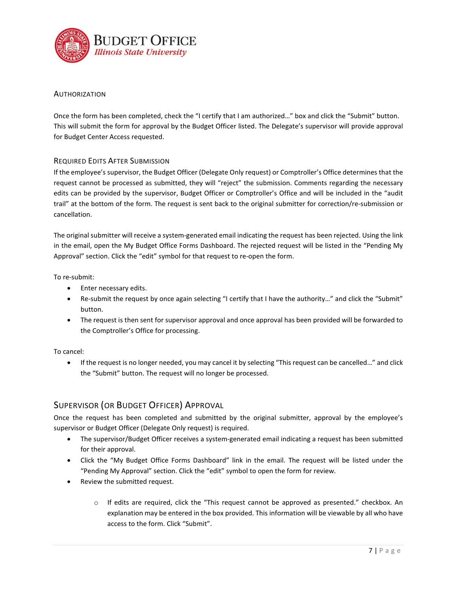

# AUTHORIZATION

Once the form has been completed, check the "I certify that I am authorized…" box and click the "Submit" button. This will submit the form for approval by the Budget Officer listed. The Delegate's supervisor will provide approval for Budget Center Access requested.

# REQUIRED EDITS AFTER SUBMISSION

If the employee's supervisor, the Budget Officer (Delegate Only request) or Comptroller's Office determines that the request cannot be processed as submitted, they will "reject" the submission. Comments regarding the necessary edits can be provided by the supervisor, Budget Officer or Comptroller's Office and will be included in the "audit trail" at the bottom of the form. The request is sent back to the original submitter for correction/re-submission or cancellation.

The original submitter will receive a system-generated email indicating the request has been rejected. Using the link in the email, open the My Budget Office Forms Dashboard. The rejected request will be listed in the "Pending My Approval" section. Click the "edit" symbol for that request to re-open the form.

To re-submit:

- Enter necessary edits.
- Re-submit the request by once again selecting "I certify that I have the authority…" and click the "Submit" button.
- The request is then sent for supervisor approval and once approval has been provided will be forwarded to the Comptroller's Office for processing.

To cancel:

• If the request is no longer needed, you may cancel it by selecting "This request can be cancelled…" and click the "Submit" button. The request will no longer be processed.

# SUPERVISOR (OR BUDGET OFFICER) APPROVAL

Once the request has been completed and submitted by the original submitter, approval by the employee's supervisor or Budget Officer (Delegate Only request) is required.

- The supervisor/Budget Officer receives a system-generated email indicating a request has been submitted for their approval.
- Click the "My Budget Office Forms Dashboard" link in the email. The request will be listed under the "Pending My Approval" section. Click the "edit" symbol to open the form for review.
- Review the submitted request.
	- o If edits are required, click the "This request cannot be approved as presented." checkbox. An explanation may be entered in the box provided. This information will be viewable by all who have access to the form. Click "Submit".